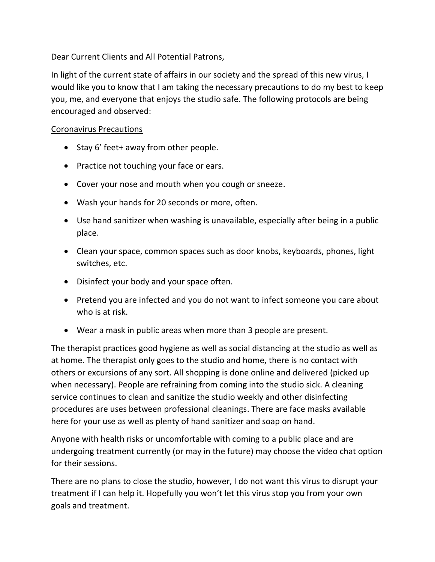Dear Current Clients and All Potential Patrons,

In light of the current state of affairs in our society and the spread of this new virus, I would like you to know that I am taking the necessary precautions to do my best to keep you, me, and everyone that enjoys the studio safe. The following protocols are being encouraged and observed:

## Coronavirus Precautions

- Stay 6' feet+ away from other people.
- Practice not touching your face or ears.
- Cover your nose and mouth when you cough or sneeze.
- Wash your hands for 20 seconds or more, often.
- Use hand sanitizer when washing is unavailable, especially after being in a public place.
- Clean your space, common spaces such as door knobs, keyboards, phones, light switches, etc.
- Disinfect your body and your space often.
- Pretend you are infected and you do not want to infect someone you care about who is at risk.
- Wear a mask in public areas when more than 3 people are present.

The therapist practices good hygiene as well as social distancing at the studio as well as at home. The therapist only goes to the studio and home, there is no contact with others or excursions of any sort. All shopping is done online and delivered (picked up when necessary). People are refraining from coming into the studio sick. A cleaning service continues to clean and sanitize the studio weekly and other disinfecting procedures are uses between professional cleanings. There are face masks available here for your use as well as plenty of hand sanitizer and soap on hand.

Anyone with health risks or uncomfortable with coming to a public place and are undergoing treatment currently (or may in the future) may choose the video chat option for their sessions.

There are no plans to close the studio, however, I do not want this virus to disrupt your treatment if I can help it. Hopefully you won't let this virus stop you from your own goals and treatment.